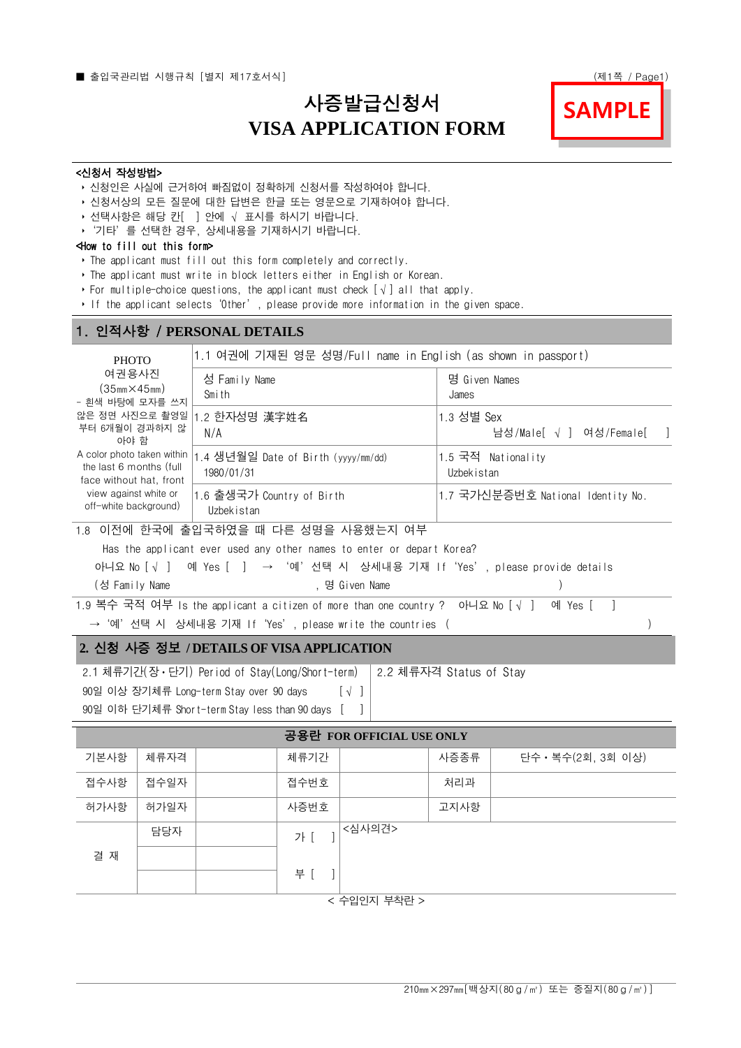# 사증발급신청서 **VISA APPLICATION FORM**



#### <신청서 작성방법>

- ‣ 신청인은 사실에 근거하여 빠짐없이 정확하게 신청서를 작성하여야 합니다.
- ‣ 신청서상의 모든 질문에 대한 답변은 한글 또는 영문으로 기재하여야 합니다.
- ▶ 선택사항은 해당 칸[ ] 안에 √ 표시를 하시기 바랍니다.
- ▶ '기타'를 선택한 경우, 상세내용을 기재하시기 바랍니다.

#### <How to fill out this form>

- ‣ The applicant must fill out this form completely and correctly.
- ‣ The applicant must write in block letters either in English or Korean.
- ‣ For multiple-choice questions, the applicant must check [√] all that apply.
- ‣ If the applicant selects'Other', please provide more information in the given space.

## 1. 인적사항 / **PERSONAL DETAILS**

| <b>PHOTO</b><br>여권용사진<br>$(35mm \times 45mm)$<br>- 흰색 바탕에 모자를 쓰지<br>않은 정면 사진으로 촬영일<br>부터 6개월이 경과하지 않<br>아야 함<br>A color photo taken within<br>the last 6 months (full<br>face without hat, front<br>view against white or<br>off-white background) | 1.1 여권에 기재된 영문 성명/Full name in English (as shown in passport) |                                       |  |  |  |
|----------------------------------------------------------------------------------------------------------------------------------------------------------------------------------------------------------------------------------------------------|---------------------------------------------------------------|---------------------------------------|--|--|--|
|                                                                                                                                                                                                                                                    | 성 Family Name<br>Smith                                        | 명 Given Names<br>James                |  |  |  |
|                                                                                                                                                                                                                                                    | 1.2 한자성명 漢字姓名<br>N/A                                          | 1.3 성별 Sex<br>남성/Male[ √ ] 여성/Female[ |  |  |  |
|                                                                                                                                                                                                                                                    | .4 생년월일 Date of Birth (yyyy/mm/dd)<br>1980/01/31              | 1.5 국적 Nationality<br>Uzbekistan      |  |  |  |
|                                                                                                                                                                                                                                                    | 1.6 출생국가 Country of Birth<br>Uzbekistan                       | 1.7 국가신분증번호 National Identity No.     |  |  |  |
|                                                                                                                                                                                                                                                    | 1.8 이전에 한국에 출입국하였을 때 다른 성명을 사용했는지 여부                          |                                       |  |  |  |

Ī

Has the applicant ever used any other names to enter or depart Korea?

아니요 No [√ ] 예 Yes [ ] → '예'선택 시 상세내용 기재 If'Yes', please provide details

| (성 Family Name | . 명 Given Name |  |
|----------------|----------------|--|
|                |                |  |

 $\overline{1.9}$  복수 국적 여부 Is the applicant a citizen of more than one country ? 아니요 No [ $\sqrt{ }$  ] 예 Yes [ ] → '예'선택 시 상세내용 기재 If'Yes', please write the countries ( ) → '예'선택 시 상세내용 기재 If Yes', please write the countries (

### **2.** 신청 사증 정보 **/ DETAILS OF VISA APPLICATION**

2.1 체류기간(장ㆍ단기) Period of Stay(Long/Short-term) 2.2 체류자격 Status of Stay

90일 이상 장기체류 Long-term Stay over 90 days [√ ]

90일 이하 단기체류 Short-term Stay less than 90 days [ ]

| 공용란 FOR OFFICIAL USE ONLY |      |  |      |        |      |                    |
|---------------------------|------|--|------|--------|------|--------------------|
| 기본사항                      | 체류자격 |  | 체류기간 |        | 사증종류 | 단수 · 복수(2회, 3회 이상) |
| 접수사항                      | 접수일자 |  | 접수번호 |        | 처리과  |                    |
| 허가사항                      | 허가일자 |  | 사증번호 |        | 고지사항 |                    |
|                           | 담당자  |  | 가「   | <심사의견> |      |                    |
| 결 재                       |      |  |      |        |      |                    |
|                           |      |  | 부 [  |        |      |                    |
| < 수입인지 부착란 >              |      |  |      |        |      |                    |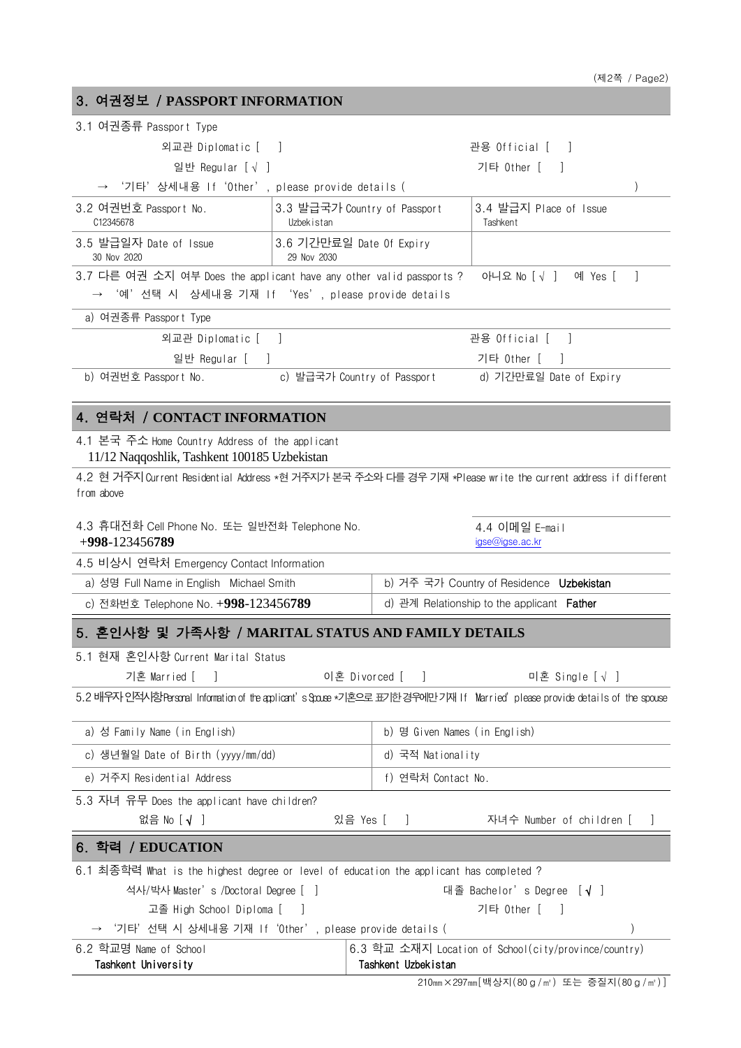| 3. 여권정보 / PASSPORT INFORMATION                                                                                               |                                                            |  |  |  |  |
|------------------------------------------------------------------------------------------------------------------------------|------------------------------------------------------------|--|--|--|--|
| 3.1 여권종류 Passport Type                                                                                                       |                                                            |  |  |  |  |
| 외교관 Diplomatic [ ]                                                                                                           | 관용 Official [ ]                                            |  |  |  |  |
| 일반 Regular [√ ]                                                                                                              | 기타 Other [ ]                                               |  |  |  |  |
| '기타'상세내용 If'Other', please provide details (                                                                                 |                                                            |  |  |  |  |
| 3.2 여권번호 Passport No.<br>3.3 발급국가 Country of Passport<br>C12345678<br>Uzbekistan                                             | 3.4 발급지 Place of Issue<br>Tashkent                         |  |  |  |  |
| 3.6 기간만료일 Date Of Expiry<br>3.5 발급일자 Date of Issue<br>30 Nov 2020<br>29 Nov 2030                                             |                                                            |  |  |  |  |
| 3.7 다른 여권 소지 여부 Does the applicant have any other valid passports ?<br>→ '예'선택 시 상세내용 기재 If 'Yes', please provide details    | 아니요 No [√ ] 예 Yes [<br>$\perp$                             |  |  |  |  |
| a) 여권종류 Passport Type                                                                                                        |                                                            |  |  |  |  |
| 외교관 Diplomatic [ ]                                                                                                           | 관용 Official [ ]                                            |  |  |  |  |
| 일반 Regular [ ]                                                                                                               | 기타 Other [<br>$\mathcal{L}$                                |  |  |  |  |
| b) 여권번호 Passport No.                                                                                                         | c) 발급국가 Country of Passport ______ d) 기간만료일 Date of Expiry |  |  |  |  |
| 4. 연락처 / CONTACT INFORMATION                                                                                                 |                                                            |  |  |  |  |
| 4.1 본국 주소 Home Country Address of the applicant<br>11/12 Naqqoshlik, Tashkent 100185 Uzbekistan                              |                                                            |  |  |  |  |
| 4.2 현 거주지 Current Residential Address *현 거주지가 본국 주소와 다를 경우 기재 *Please write the current address if different<br>from above   |                                                            |  |  |  |  |
| 4.3 휴대전화 Cell Phone No. 또는 일반전화 Telephone No.<br>$+998-123456789$                                                            | 4.4 이메일 E-mail<br>igse@igse.ac.kr                          |  |  |  |  |
| 4.5 비상시 연락처 Emergency Contact Information                                                                                    |                                                            |  |  |  |  |
| a) 성명 Full Name in English Michael Smith                                                                                     | b) 거주 국가 Country of Residence Uzbekistan                   |  |  |  |  |
| c) 전화번호 Telephone No. +998-123456789                                                                                         | d) 관계 Relationship to the applicant <b>Father</b>          |  |  |  |  |
| 5. 혼인사항 및 가족사항 / MARITAL STATUS AND FAMILY DETAILS                                                                           |                                                            |  |  |  |  |
| 5.1 현재 혼인사항 Current Marital Status                                                                                           |                                                            |  |  |  |  |
| 이혼 Divorced [<br>기혼 Married [                                                                                                | 미혼 Single [√ ]<br>$\Box$                                   |  |  |  |  |
| 5.2 배우자 인적시항Personal Information of the applicant's Spouse *기혼으로 표기한 경우에만 기재 If Married'please provide details of the spouse |                                                            |  |  |  |  |
| a) 성 Family Name (in English)                                                                                                | b) 명 Given Names (in English)                              |  |  |  |  |
| c) 생년월일 Date of Birth (yyyy/mm/dd)                                                                                           | d) 국적 Nationality                                          |  |  |  |  |
| e) 거주지 Residential Address                                                                                                   | f) 연락처 Contact No.                                         |  |  |  |  |
| 5.3 자녀 유무 Does the applicant have children?                                                                                  |                                                            |  |  |  |  |
| 없음 No [√ ]<br>있음 Yes [                                                                                                       | 자녀수 Number of children [<br>$\mathbf{I}$                   |  |  |  |  |
| 6. 학력 / EDUCATION                                                                                                            |                                                            |  |  |  |  |
| 6.1 최종학력 What is the highest degree or level of education the applicant has completed ?                                      |                                                            |  |  |  |  |
| 석사/박사 Master's /Doctoral Degree [ ]<br>대졸 Bachelor's Degree [√ ]                                                             |                                                            |  |  |  |  |
| 고졸 High School Diploma [                                                                                                     | 기타 Other [<br>$\blacksquare$                               |  |  |  |  |
| '기타'선택 시 상세내용 기재 If'Other', please provide details (                                                                         |                                                            |  |  |  |  |

| 6.2 학교명 Name of School | 6.3 학교 소재지 Location of School(city/province/country) |
|------------------------|------------------------------------------------------|
| Tashkent University    | Tashkent Uzbekistan                                  |

210㎜×297㎜[백상지(80g/㎡) 또는 중질지(80g/㎡)]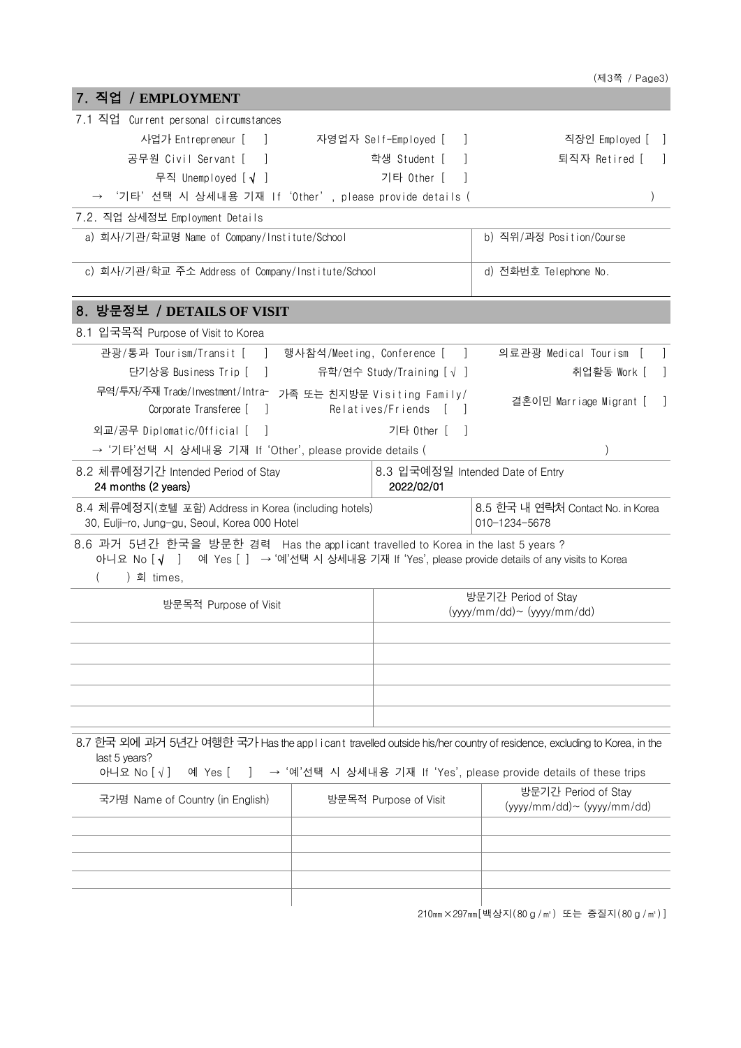|                                                                                                                                                                                     |                      |                                                | (제3쪽 / Page3)                                                     |
|-------------------------------------------------------------------------------------------------------------------------------------------------------------------------------------|----------------------|------------------------------------------------|-------------------------------------------------------------------|
| 7. 직업 / EMPLOYMENT                                                                                                                                                                  |                      |                                                |                                                                   |
| 7.1 직업 Current personal circumstances                                                                                                                                               |                      |                                                |                                                                   |
| 사업가 Entrepreneur [ ]                                                                                                                                                                | 자영업자 Self-Employed [ | $\overline{\phantom{a}}$                       | 직장인 Employed [ ]                                                  |
| 공무원 Civil Servant [<br>a a T                                                                                                                                                        |                      | 학생 Student [<br>$\overline{\phantom{a}}$       | 퇴직자 Retired [<br>$\sim$                                           |
| 무직 Unemployed [√ ]                                                                                                                                                                  |                      | 기타 Other [                                     |                                                                   |
| '기타'선택 시 상세내용 기재 If 'Other', please provide details (                                                                                                                               |                      |                                                |                                                                   |
| 7.2. 직업 상세정보 Employment Details                                                                                                                                                     |                      |                                                |                                                                   |
| a) 회사/기관/학교명 Name of Company/Institute/School                                                                                                                                       |                      |                                                | b) 직위/과정 Position/Course                                          |
|                                                                                                                                                                                     |                      |                                                |                                                                   |
| c) 회사/기관/학교 주소 Address of Company/Institute/School                                                                                                                                  |                      |                                                | d) 전화번호 Telephone No.                                             |
| 8. 방문정보 / DETAILS OF VISIT                                                                                                                                                          |                      |                                                |                                                                   |
| 8.1 입국목적 Purpose of Visit to Korea                                                                                                                                                  |                      |                                                |                                                                   |
| 관광/통과 Tourism/Transit [ ] 행사참석/Meeting, Conference [ ]                                                                                                                              |                      |                                                | 의료관광 Medical Tourism [<br>$\Box$                                  |
| 단기상용 Business Trip [ ]                                                                                                                                                              |                      | 유학/연수 Study/Training [√ ]                      | 취업활동 Work [ ]                                                     |
| 무역/투자/주재 Trade/Investment/Intra- 가족 또는 친지방문 Visiting Family/<br>Corporate Transferee [ ]                                                                                            |                      | Relatives/Friends                              | 결혼이민 Marriage Migrant [ ]                                         |
| 외교/공무 Diplomatic/Official [ ]                                                                                                                                                       |                      | 기타 Other [ ]                                   |                                                                   |
| → '기타'선택 시 상세내용 기재 If 'Other', please provide details (                                                                                                                             |                      |                                                | $\lambda$                                                         |
| 8.2 체류예정기간 Intended Period of Stay<br>24 months (2 years)                                                                                                                           |                      | 8.3 입국예정일 Intended Date of Entry<br>2022/02/01 |                                                                   |
| 8.4 체류예정지(호텔 포함) Address in Korea (including hotels)<br>30, Eulji-ro, Jung-gu, Seoul, Korea 000 Hotel                                                                               |                      |                                                | 8.5 한국 내 연락처 Contact No. in Korea<br>010-1234-5678                |
| 8.6 과거 5년간 한국을 방문한 경력 Has the applicant travelled to Korea in the last 5 years ?<br>아니요 No [√ ] 예 Yes [ ] → '예'선택 시 상세내용 기재 If 'Yes', please provide details of any visits to Korea |                      |                                                |                                                                   |
| ) 회 times,                                                                                                                                                                          |                      |                                                |                                                                   |
| 방문목적 Purpose of Visit                                                                                                                                                               |                      |                                                | 방문기간 Period of Stay                                               |
|                                                                                                                                                                                     |                      |                                                | $(yyyy/mm/dd) \sim (yyyy/mm/dd)$                                  |
|                                                                                                                                                                                     |                      |                                                |                                                                   |
|                                                                                                                                                                                     |                      |                                                |                                                                   |
|                                                                                                                                                                                     |                      |                                                |                                                                   |
| 8.7 한국 외에 괴거 5년간 여행한 국가 Has the applicant travelled outside his/her country of residence, excluding to Korea, in the<br>last 5 years?<br>아니요 No [√]<br>예 Yes [                      |                      |                                                | → '예'선택 시 상세내용 기재 If 'Yes', please provide details of these trips |
|                                                                                                                                                                                     |                      |                                                | 방문기간 Period of Stay                                               |
| 국가명 Name of Country (in English)                                                                                                                                                    |                      | 방문목적 Purpose of Visit                          | $(yyyy/mm / dd)$ ~ $(yyyy/mm / dd)$                               |
|                                                                                                                                                                                     |                      |                                                |                                                                   |
|                                                                                                                                                                                     |                      |                                                |                                                                   |
|                                                                                                                                                                                     |                      |                                                |                                                                   |
|                                                                                                                                                                                     |                      |                                                |                                                                   |
|                                                                                                                                                                                     |                      |                                                |                                                                   |

210㎜×297㎜[백상지(80g/㎡) 또는 중질지(80g/㎡)]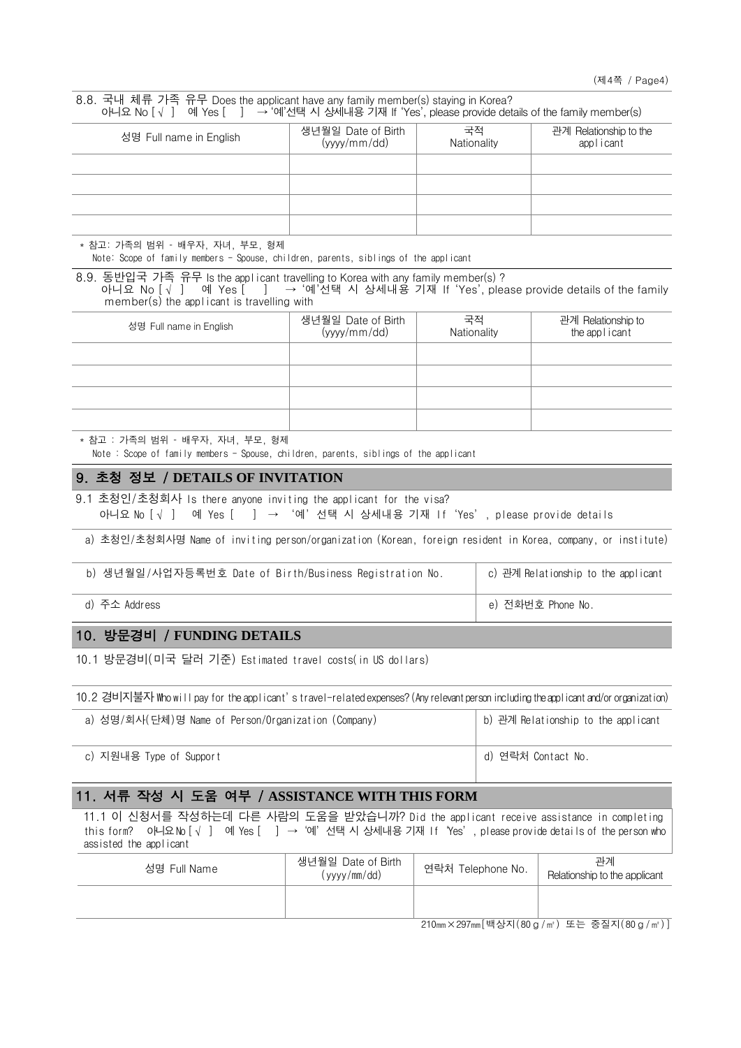| 8.8. 국내 체류 가족 유무 Does the applicant have any family member(s) staying in Korea?<br>아니요 No $\lceil \sqrt{ } \rceil$ 예 Yes $\lceil$ ] → '예'선택 시 상세내용 기재 If 'Yes', please provide details of the family member(s)          |                                    |                   |                                     |                                     |  |  |
|-------------------------------------------------------------------------------------------------------------------------------------------------------------------------------------------------------------------------|------------------------------------|-------------------|-------------------------------------|-------------------------------------|--|--|
| 성명 Full name in English                                                                                                                                                                                                 | 생년월일 Date of Birth<br>(yyyy/mm/dd) | 국적<br>Nationality | 관계 Relationship to the<br>applicant |                                     |  |  |
|                                                                                                                                                                                                                         |                                    |                   |                                     |                                     |  |  |
|                                                                                                                                                                                                                         |                                    |                   |                                     |                                     |  |  |
| * 참고: 가족의 범위 – 배우자, 자녀, 부모, 형제<br>Note: Scope of family members - Spouse, children, parents, siblings of the applicant                                                                                                  |                                    |                   |                                     |                                     |  |  |
| 8.9. 동반입국 가족 유무 Is the applicant travelling to Korea with any family member(s)?<br>아니요 No [√ ] 예 Yes [ ] → '예'선택 시 상세내용 기재 If 'Yes', please provide details of the family<br>member(s) the applicant is travelling with |                                    |                   |                                     |                                     |  |  |
| 성명 Full name in English                                                                                                                                                                                                 | 생년월일 Date of Birth<br>(yyyy/mm/dd) | 국적<br>Nationality |                                     | 관계 Relationship to<br>the applicant |  |  |
|                                                                                                                                                                                                                         |                                    |                   |                                     |                                     |  |  |
|                                                                                                                                                                                                                         |                                    |                   |                                     |                                     |  |  |
| * 참고 : 가족의 범위 - 배우자, 자녀, 부모, 형제<br>Note: Scope of family members - Spouse, children, parents, siblings of the applicant                                                                                                 |                                    |                   |                                     |                                     |  |  |
| 9. 초청 정보 / DETAILS OF INVITATION                                                                                                                                                                                        |                                    |                   |                                     |                                     |  |  |
| 9.1 초청인/초청회사 Is there anyone inviting the applicant for the visa?<br>아니요 No [√ ] 예 Yes [ ] → '예'선택 시 상세내용 기재 If 'Yes', please provide details                                                                           |                                    |                   |                                     |                                     |  |  |
| a) 초청인/초청회사명 Name of inviting person/organization (Korean, foreign resident in Korea, company, or institute)                                                                                                            |                                    |                   |                                     |                                     |  |  |
| b) 생년월일/사업자등록번호 Date of Birth/Business Registration No.                                                                                                                                                                 |                                    |                   |                                     | c) 관계 Relationship to the applicant |  |  |
| d) 주소 Address                                                                                                                                                                                                           |                                    |                   |                                     | e) 전화번호 Phone No.                   |  |  |
| 10. 방문경비 / FUNDING DETAILS                                                                                                                                                                                              |                                    |                   |                                     |                                     |  |  |
| 10.1 방문경비(미국 달러 기준) Estimated travel costs(in US dollars)                                                                                                                                                               |                                    |                   |                                     |                                     |  |  |
| 10.2 경비지불자 Who will pay for the applicant's travel-related expenses? (Any relevant person including the applicant and/or organization)                                                                                  |                                    |                   |                                     |                                     |  |  |
| a) 성명/회사(단체)명 Name of Person/Organization (Company)                                                                                                                                                                     |                                    |                   |                                     | b) 관계 Relationship to the applicant |  |  |
| c) 지원내용 Type of Support                                                                                                                                                                                                 |                                    |                   |                                     | d) 연락처 Contact No.                  |  |  |
| 11. 서류 작성 시 도움 여부 / ASSISTANCE WITH THIS FORM                                                                                                                                                                           |                                    |                   |                                     |                                     |  |  |
| 11.1 이 신청서를 작성하는데 다른 사람의 도움을 받았습니까? Did the applicant receive assistance in completing<br>this form? 아니요№ [√ ] 예 Yes [ ] → '예'선택 시 상세내용 기재 If 'Yes', please provide details of the person who<br>assisted the applicant |                                    |                   |                                     |                                     |  |  |
| 성명 Full Name                                                                                                                                                                                                            | 생년월일 Date of Birth<br>(yyyy/mm/dd) | 연락처 Telephone No. |                                     | 관계<br>Relationship to the applicant |  |  |
|                                                                                                                                                                                                                         |                                    |                   |                                     |                                     |  |  |

210㎜×297㎜[백상지(80g/㎡) 또는 중질지(80g/㎡)]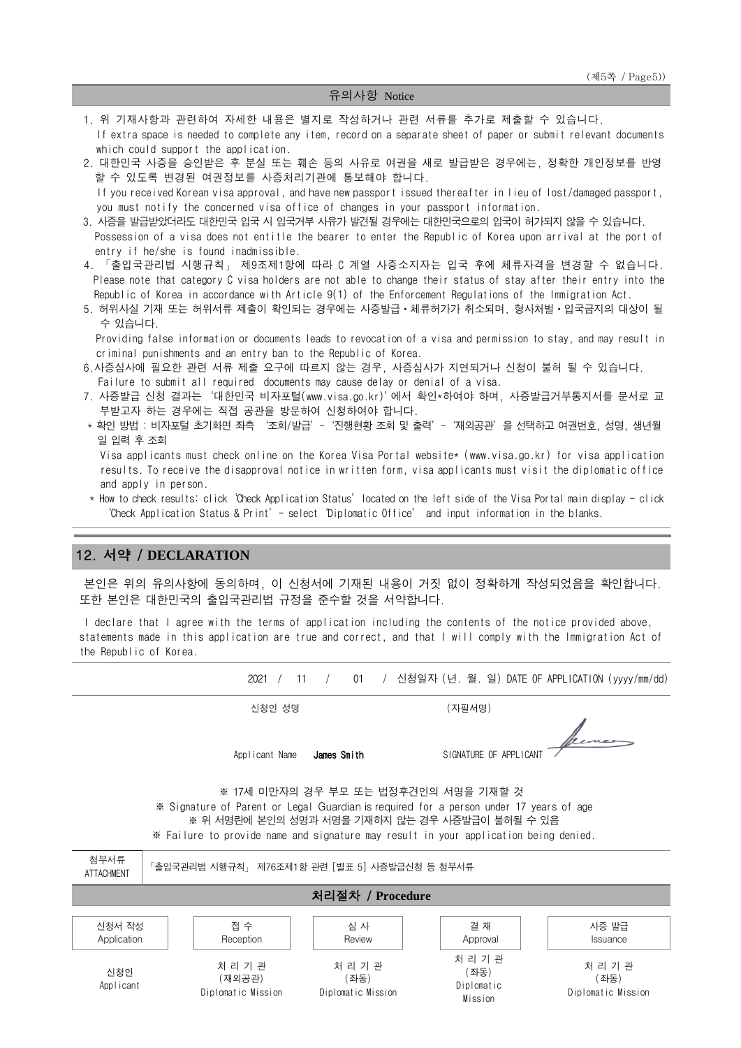#### 유의사항 Notice

- 1. 위 기재사항과 관련하여 자세한 내용은 별지로 작성하거나 관련 서류를 추가로 제출할 수 있습니다. If extra space is needed to complete any item, record on a separate sheet of paper or submit relevant documents which could support the application.
- 2. 대한민국 사증을 승인받은 후 분실 또는 훼손 등의 사유로 여권을 새로 발급받은 경우에는, 정확한 개인정보를 반영 할 수 있도록 변경된 여권정보를 사증처리기관에 통보해야 합니다. If you received Korean visa approval, and have new passport issued thereafter in lieu of lost/damaged passport, you must notify the concerned visa office of changes in your passport information.
- 3. 사증을 발급받았더라도 대한민국 입국 시 입국거부 사유가 발견될 경우에는 대한민국으로의 입국이 허가되지 않을 수 있습니다. Possession of a visa does not entitle the bearer to enter the Republic of Korea upon arrival at the port of entry if he/she is found inadmissible.
- 4. 「출입국관리법 시행규칙」 제9조제1항에 따라 C 계열 사증소지자는 입국 후에 체류자격을 변경할 수 없습니다. Please note that category C visa holders are not able to change their status of stay after their entry into the Republic of Korea in accordance with Article 9(1) of the Enforcement Regulations of the Immigration Act.
- 5. 허위사실 기재 또는 허위서류 제출이 확인되는 경우에는 사증발급ㆍ체류허가가 취소되며, 형사처벌ㆍ입국금지의 대상이 될 수 있습니다.

Providing false information or documents leads to revocation of a visa and permission to stay, and may result in criminal punishments and an entry ban to the Republic of Korea.

- 6.사증심사에 필요한 관련 서류 제출 요구에 따르지 않는 경우, 사증심사가 지연되거나 신청이 불허 될 수 있습니다. Failure to submit all required documents may cause delay or denial of a visa.
- 7. 사증발급 신청 결과는'대한민국 비자포털(www.visa.go.kr)'에서 확인\*하여야 하며, 사증발급거부통지서를 문서로 교 부받고자 하는 경우에는 직접 공관을 방문하여 신청하여야 합니다.
- \* 확인 방법 : 비자포털 초기화면 좌측 '조회/발급'-'진행현황 조회 및 출력'-'재외공관'을 선택하고 여권번호, 성명, 생년월 일 입력 후 조회
	- Visa applicants must check online on the Korea Visa Portal website\* [\(www.visa.go.kr\)](http://www.visa.go.kr/) for visa application results. To receive the disapproval notice in written form, visa applicants must visit the diplomatic office and apply in person.
- \* How to check results: click'Check Application Status'located on the left side of the Visa Portal main display click 'Check Application Status & Print'- select'Diplomatic Office' and input information in the blanks.

## 12. 서약 / **DECLARATION**

본인은 위의 유의사항에 동의하며, 이 신청서에 기재된 내용이 거짓 없이 정확하게 작성되었음을 확인합니다. 또한 본인은 대한민국의 출입국관리법 규정을 준수할 것을 서약합니다.

I declare that I agree with the terms of application including the contents of the notice provided above, statements made in this application are true and correct, and that I will comply with the Immigration Act of the Republic of Korea.

2021 / 11 / 01 / 신청일자 (년. 월. 일) DATE OF APPLICATION (yyyy/mm/dd)

신청인 성명 (자필서명)

lecomes Applicant Name **James Smith** SIGNATURE OF APPLICANT

※ 17세 미만자의 경우 부모 또는 법정후견인의 서명을 기재할 것 ※ Signature of Parent or Legal Guardian is required for a person under 17 years of age ※ 위 서명란에 본인의 성명과 서명을 기재하지 않는 경우 사증발급이 불허될 수 있음 ※ Failure to provide name and signature may result in your application being denied.